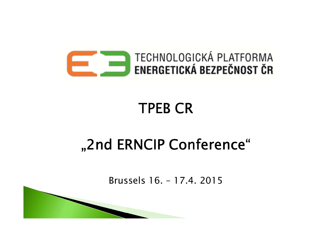

### TPEB CR

# "2nd ERNCIP Conference"

Brussels 16. – 17.4. 2015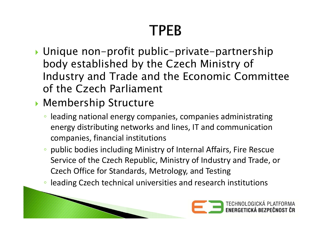## **TPEB**

- Unique non-profit public-private-partnership body established by the Czech Ministry of Industry and Trade and the Economic Committee of the Czech Parliament
- Membership Structure
	- $\bullet$  leading national energy companies, companies administrating energy distributing networks and lines, IT and communication companies, financial institutions
	- public bodies including Ministry of Internal Affairs, Fire Rescue Service of the Czech Republic, Ministry of Industry and Trade, or Czech Office for Standards, Metrology, and Testing
	- leading Czech technical universities and research institutions

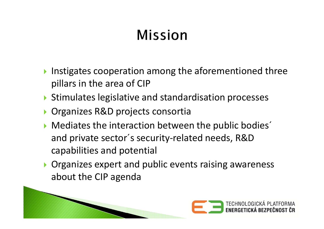### **Mission**

- Instigates cooperation among the aforementioned three pillars in the area of CIP
- $\blacktriangleright$  Stimulates legislative and standardisation processes
- ▶ Organizes R&D projects consortia
- $\blacktriangleright$  Mediates the interaction between the public bodies<sup> $\acute{}$ </sup> and private sector´s security-related needs, R&D capabilities and potential
- **Organizes expert and public events raising awareness** about the CIP agenda

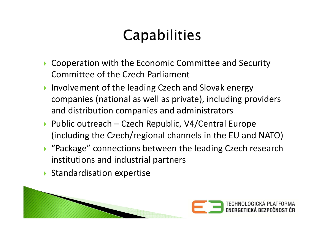### **Capabilities**

- $\blacktriangleright$  Cooperation with the Economic Committee and Security Committee of the Czech Parliament
- **Involvement of the leading Czech and Slovak energy** companies (national as well as private), including providers and distribution companies and administrators
- ▶ Public outreach Czech Republic, V4/Central Europe (including the Czech/regional channels in the EU and NATO)
- ▶ "Package" connections between the leading Czech research institutions and industrial partners
- $\blacktriangleright$  Standardisation expertise

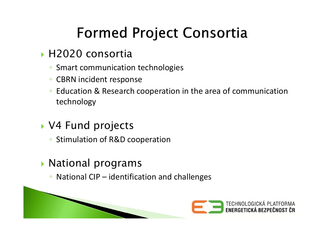### **Formed Project Consortia**

#### H2020 consortia

- Smart communication technologies
- CBRN incident response
- Education & Research cooperation in the area of communication technology

#### V4 Fund projects

◦ Stimulation of R&D cooperation

#### National programs

◦ National CIP – identification and challenges

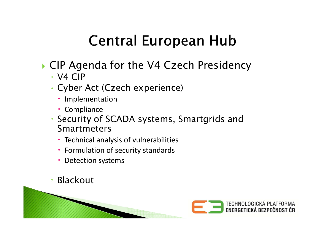### **Central European Hub**

- CIP Agenda for the V4 Czech Presidency
	- V4 CIP
	- Cyber Act (Czech experience)
		- Implementation
		- Compliance
	- Security of SCADA systems, Smartgrids and Smartmeters
		- Technical analysis of vulnerabilities
		- Formulation of security standards
		- Detection systems

◦ Blackout

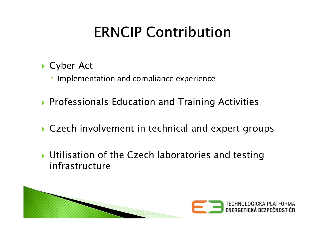### **ERNCIP Contribution**

Cyber Act

◦ Implementation and compliance experience

- Professionals Education and Training Activities
- Czech involvement in technical and expert groups
- Utilisation of the Czech laboratories and testing infrastructure

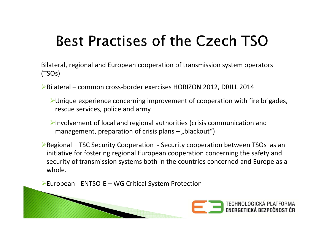### **Best Practises of the Czech TSO**

Bilateral, regional and European cooperation of transmission system operators (TSOs)

Bilateral – common cross-border exercises HORIZON 2012, DRILL 2014

- Unique experience concerning improvement of cooperation with fire brigades, rescue services, police and army
- $\triangleright$ Involvement of local and regional authorities (crisis communication and management, preparation of crisis plans  $-$  "blackout")

Regional – TSC Security Cooperation - Security cooperation between TSOs as an initiative for fostering regional European cooperation concerning the safety and security of transmission systems both in the countries concerned and Europe as a whole.

European - ENTSO-E – WG Critical System Protection

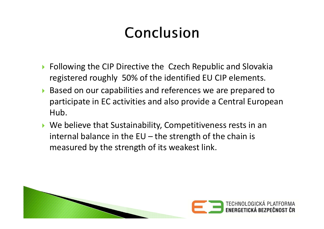### Conclusion

- ▶ Following the CIP Directive the Czech Republic and Slovakia registered roughly 50% of the identified EU CIP elements.
- ▶ Based on our capabilities and references we are prepared to participate in EC activities and also provide a Central European Hub.
- We believe that Sustainability, Competitiveness rests in an internal balance in the  $EU$  – the strength of the chain is measured by the strength of its weakest link.